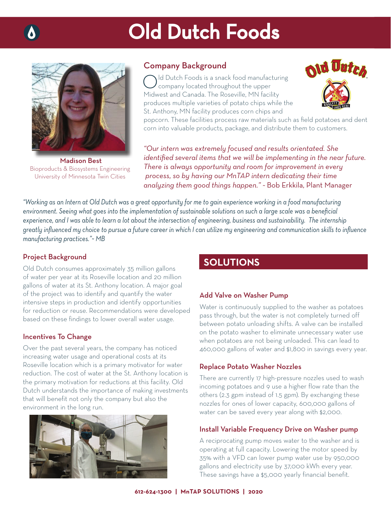# Old Dutch Foods



Madison Best Bioproducts & Biosystems Engineering University of Minnesota Twin Cities

### Company Background

Id Dutch Foods is a snack food manufacturing company located throughout the upper Midwest and Canada. The Roseville, MN facility produces multiple varieties of potato chips while the St. Anthony, MN facility produces corn chips and



popcorn. These facilities process raw materials such as field potatoes and dent corn into valuable products, package, and distribute them to customers.

*"Our intern was extremely focused and results orientated. She identified several items that we will be implementing in the near future. There is always opportunity and room for improvement in every process, so by having our MnTAP intern dedicating their time analyzing them good things happen." ~* Bob Erkkila, Plant Manager

*"Working as an Intern at Old Dutch was a great opportunity for me to gain experience working in a food manufacturing*  environment. Seeing what goes into the implementation of sustainable solutions on such a large scale was a beneficial *experience, and I was able to learn a lot about the intersection of engineering, business and sustainability. The internship*  greatly influenced my choice to pursue a future career in which I can utilize my engineering and communication skills to influence *manufacturing practices."~ MB*

### Project Background

Old Dutch consumes approximately 35 million gallons of water per year at its Roseville location and 20 million gallons of water at its St. Anthony location. A major goal of the project was to identify and quantify the water intensive steps in production and identify opportunities for reduction or reuse. Recommendations were developed based on these findings to lower overall water usage.

### Incentives To Change

Over the past several years, the company has noticed increasing water usage and operational costs at its Roseville location which is a primary motivator for water reduction. The cost of water at the St. Anthony location is the primary motivation for reductions at this facility. Old Dutch understands the importance of making investments that will benefit not only the company but also the environment in the long run.



### **SOLUTIONS**

### Add Valve on Washer Pump

Water is continuously supplied to the washer as potatoes pass through, but the water is not completely turned off between potato unloading shifts. A valve can be installed on the potato washer to eliminate unnecessary water use when potatoes are not being unloaded. This can lead to 460,000 gallons of water and \$1,800 in savings every year.

#### Replace Potato Washer Nozzles

There are currently 17 high-pressure nozzles used to wash incoming potatoes and 9 use a higher flow rate than the others (2.3 gpm instead of 1.5 gpm). By exchanging these nozzles for ones of lower capacity, 600,000 gallons of water can be saved every year along with \$2,000.

### Install Variable Frequency Drive on Washer pump

A reciprocating pump moves water to the washer and is operating at full capacity. Lowering the motor speed by 35% with a VFD can lower pump water use by 950,000 gallons and electricity use by 37,000 kWh every year. These savings have a \$5,000 yearly financial benefit.